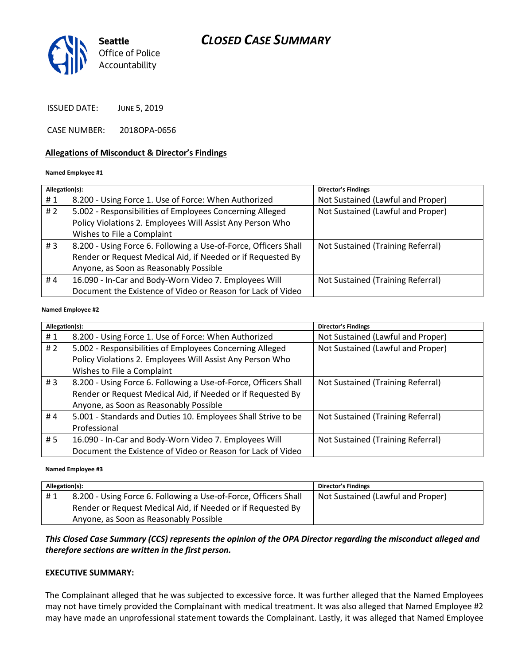

ISSUED DATE: JUNE 5, 2019

CASE NUMBER: 2018OPA-0656

#### **Allegations of Misconduct & Director's Findings**

#### **Named Employee #1**

| Allegation(s): |                                                                 | <b>Director's Findings</b>        |
|----------------|-----------------------------------------------------------------|-----------------------------------|
| #1             | 8.200 - Using Force 1. Use of Force: When Authorized            | Not Sustained (Lawful and Proper) |
| #2             | 5.002 - Responsibilities of Employees Concerning Alleged        | Not Sustained (Lawful and Proper) |
|                | Policy Violations 2. Employees Will Assist Any Person Who       |                                   |
|                | Wishes to File a Complaint                                      |                                   |
| #3             | 8.200 - Using Force 6. Following a Use-of-Force, Officers Shall | Not Sustained (Training Referral) |
|                | Render or Request Medical Aid, if Needed or if Requested By     |                                   |
|                | Anyone, as Soon as Reasonably Possible                          |                                   |
| #4             | 16.090 - In-Car and Body-Worn Video 7. Employees Will           | Not Sustained (Training Referral) |
|                | Document the Existence of Video or Reason for Lack of Video     |                                   |

#### ؚ<br>ا **Named Employee #2**

| Allegation(s): |                                                                 | Director's Findings               |
|----------------|-----------------------------------------------------------------|-----------------------------------|
| #1             | 8.200 - Using Force 1. Use of Force: When Authorized            | Not Sustained (Lawful and Proper) |
| #2             | 5.002 - Responsibilities of Employees Concerning Alleged        | Not Sustained (Lawful and Proper) |
|                | Policy Violations 2. Employees Will Assist Any Person Who       |                                   |
|                | Wishes to File a Complaint                                      |                                   |
| # $3$          | 8.200 - Using Force 6. Following a Use-of-Force, Officers Shall | Not Sustained (Training Referral) |
|                | Render or Request Medical Aid, if Needed or if Requested By     |                                   |
|                | Anyone, as Soon as Reasonably Possible                          |                                   |
| #4             | 5.001 - Standards and Duties 10. Employees Shall Strive to be   | Not Sustained (Training Referral) |
|                | Professional                                                    |                                   |
| #5             | 16.090 - In-Car and Body-Worn Video 7. Employees Will           | Not Sustained (Training Referral) |
|                | Document the Existence of Video or Reason for Lack of Video     |                                   |

#### **Named Employee #3**

| Allegation(s): |                                                                 | <b>Director's Findings</b>        |
|----------------|-----------------------------------------------------------------|-----------------------------------|
| #1             | 8.200 - Using Force 6. Following a Use-of-Force, Officers Shall | Not Sustained (Lawful and Proper) |
|                | Render or Request Medical Aid, if Needed or if Requested By     |                                   |
|                | Anyone, as Soon as Reasonably Possible                          |                                   |

#### *This Closed Case Summary (CCS) represents the opinion of the OPA Director regarding the misconduct alleged and therefore sections are written in the first person.*

#### **EXECUTIVE SUMMARY:**

The Complainant alleged that he was subjected to excessive force. It was further alleged that the Named Employees may not have timely provided the Complainant with medical treatment. It was also alleged that Named Employee #2 may have made an unprofessional statement towards the Complainant. Lastly, it was alleged that Named Employee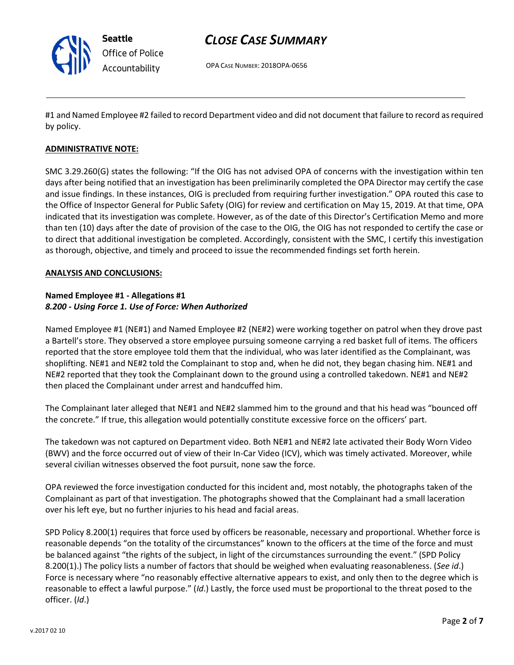

OPA CASE NUMBER: 2018OPA-0656

#1 and Named Employee #2 failed to record Department video and did not document that failure to record as required by policy.

#### **ADMINISTRATIVE NOTE:**

SMC 3.29.260(G) states the following: "If the OIG has not advised OPA of concerns with the investigation within ten days after being notified that an investigation has been preliminarily completed the OPA Director may certify the case and issue findings. In these instances, OIG is precluded from requiring further investigation." OPA routed this case to the Office of Inspector General for Public Safety (OIG) for review and certification on May 15, 2019. At that time, OPA indicated that its investigation was complete. However, as of the date of this Director's Certification Memo and more than ten (10) days after the date of provision of the case to the OIG, the OIG has not responded to certify the case or to direct that additional investigation be completed. Accordingly, consistent with the SMC, I certify this investigation as thorough, objective, and timely and proceed to issue the recommended findings set forth herein.

#### **ANALYSIS AND CONCLUSIONS:**

#### **Named Employee #1 - Allegations #1** *8.200 - Using Force 1. Use of Force: When Authorized*

Named Employee #1 (NE#1) and Named Employee #2 (NE#2) were working together on patrol when they drove past a Bartell's store. They observed a store employee pursuing someone carrying a red basket full of items. The officers reported that the store employee told them that the individual, who was later identified as the Complainant, was shoplifting. NE#1 and NE#2 told the Complainant to stop and, when he did not, they began chasing him. NE#1 and NE#2 reported that they took the Complainant down to the ground using a controlled takedown. NE#1 and NE#2 then placed the Complainant under arrest and handcuffed him.

The Complainant later alleged that NE#1 and NE#2 slammed him to the ground and that his head was "bounced off the concrete." If true, this allegation would potentially constitute excessive force on the officers' part.

The takedown was not captured on Department video. Both NE#1 and NE#2 late activated their Body Worn Video (BWV) and the force occurred out of view of their In-Car Video (ICV), which was timely activated. Moreover, while several civilian witnesses observed the foot pursuit, none saw the force.

OPA reviewed the force investigation conducted for this incident and, most notably, the photographs taken of the Complainant as part of that investigation. The photographs showed that the Complainant had a small laceration over his left eye, but no further injuries to his head and facial areas.

SPD Policy 8.200(1) requires that force used by officers be reasonable, necessary and proportional. Whether force is reasonable depends "on the totality of the circumstances" known to the officers at the time of the force and must be balanced against "the rights of the subject, in light of the circumstances surrounding the event." (SPD Policy 8.200(1).) The policy lists a number of factors that should be weighed when evaluating reasonableness. (*See id*.) Force is necessary where "no reasonably effective alternative appears to exist, and only then to the degree which is reasonable to effect a lawful purpose." (*Id*.) Lastly, the force used must be proportional to the threat posed to the officer. (*Id*.)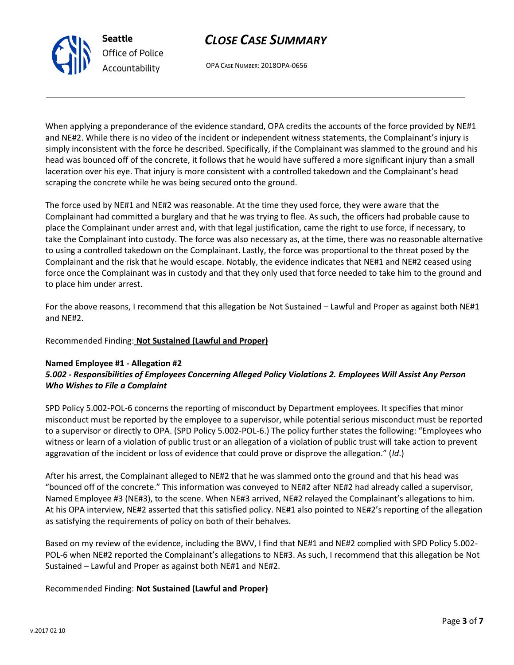

OPA CASE NUMBER: 2018OPA-0656

When applying a preponderance of the evidence standard, OPA credits the accounts of the force provided by NE#1 and NE#2. While there is no video of the incident or independent witness statements, the Complainant's injury is simply inconsistent with the force he described. Specifically, if the Complainant was slammed to the ground and his head was bounced off of the concrete, it follows that he would have suffered a more significant injury than a small laceration over his eye. That injury is more consistent with a controlled takedown and the Complainant's head scraping the concrete while he was being secured onto the ground.

The force used by NE#1 and NE#2 was reasonable. At the time they used force, they were aware that the Complainant had committed a burglary and that he was trying to flee. As such, the officers had probable cause to place the Complainant under arrest and, with that legal justification, came the right to use force, if necessary, to take the Complainant into custody. The force was also necessary as, at the time, there was no reasonable alternative to using a controlled takedown on the Complainant. Lastly, the force was proportional to the threat posed by the Complainant and the risk that he would escape. Notably, the evidence indicates that NE#1 and NE#2 ceased using force once the Complainant was in custody and that they only used that force needed to take him to the ground and to place him under arrest.

For the above reasons, I recommend that this allegation be Not Sustained – Lawful and Proper as against both NE#1 and NE#2.

Recommended Finding: **Not Sustained (Lawful and Proper)**

**Seattle**

*Office of Police Accountability*

#### **Named Employee #1 - Allegation #2** *5.002 - Responsibilities of Employees Concerning Alleged Policy Violations 2. Employees Will Assist Any Person Who Wishes to File a Complaint*

SPD Policy 5.002-POL-6 concerns the reporting of misconduct by Department employees. It specifies that minor misconduct must be reported by the employee to a supervisor, while potential serious misconduct must be reported to a supervisor or directly to OPA. (SPD Policy 5.002-POL-6.) The policy further states the following: "Employees who witness or learn of a violation of public trust or an allegation of a violation of public trust will take action to prevent aggravation of the incident or loss of evidence that could prove or disprove the allegation." (*Id*.)

After his arrest, the Complainant alleged to NE#2 that he was slammed onto the ground and that his head was "bounced off of the concrete." This information was conveyed to NE#2 after NE#2 had already called a supervisor, Named Employee #3 (NE#3), to the scene. When NE#3 arrived, NE#2 relayed the Complainant's allegations to him. At his OPA interview, NE#2 asserted that this satisfied policy. NE#1 also pointed to NE#2's reporting of the allegation as satisfying the requirements of policy on both of their behalves.

Based on my review of the evidence, including the BWV, I find that NE#1 and NE#2 complied with SPD Policy 5.002- POL-6 when NE#2 reported the Complainant's allegations to NE#3. As such, I recommend that this allegation be Not Sustained – Lawful and Proper as against both NE#1 and NE#2.

#### Recommended Finding: **Not Sustained (Lawful and Proper)**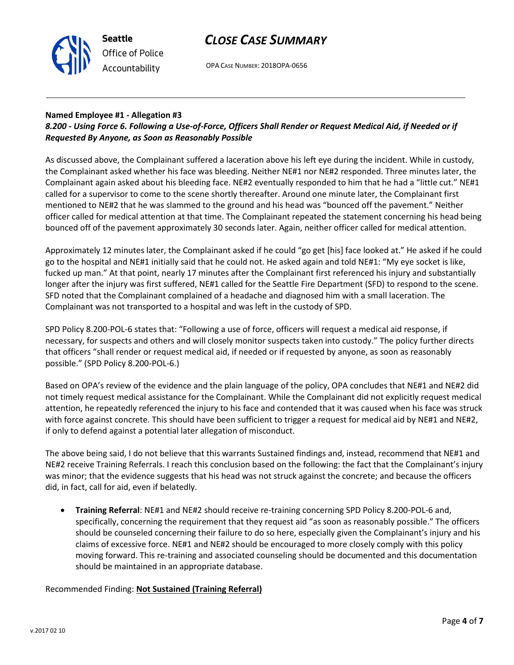

OPA CASE NUMBER: 2018OPA-0656

### **Named Employee #1 - Allegation #3**

### *8.200 - Using Force 6. Following a Use-of-Force, Officers Shall Render or Request Medical Aid, if Needed or if Requested By Anyone, as Soon as Reasonably Possible*

As discussed above, the Complainant suffered a laceration above his left eye during the incident. While in custody, the Complainant asked whether his face was bleeding. Neither NE#1 nor NE#2 responded. Three minutes later, the Complainant again asked about his bleeding face. NE#2 eventually responded to him that he had a "little cut." NE#1 called for a supervisor to come to the scene shortly thereafter. Around one minute later, the Complainant first mentioned to NE#2 that he was slammed to the ground and his head was "bounced off the pavement." Neither officer called for medical attention at that time. The Complainant repeated the statement concerning his head being bounced off of the pavement approximately 30 seconds later. Again, neither officer called for medical attention.

Approximately 12 minutes later, the Complainant asked if he could "go get [his] face looked at." He asked if he could go to the hospital and NE#1 initially said that he could not. He asked again and told NE#1: "My eye socket is like, fucked up man." At that point, nearly 17 minutes after the Complainant first referenced his injury and substantially longer after the injury was first suffered, NE#1 called for the Seattle Fire Department (SFD) to respond to the scene. SFD noted that the Complainant complained of a headache and diagnosed him with a small laceration. The Complainant was not transported to a hospital and was left in the custody of SPD.

SPD Policy 8.200-POL-6 states that: "Following a use of force, officers will request a medical aid response, if necessary, for suspects and others and will closely monitor suspects taken into custody." The policy further directs that officers "shall render or request medical aid, if needed or if requested by anyone, as soon as reasonably possible." (SPD Policy 8.200-POL-6.)

Based on OPA's review of the evidence and the plain language of the policy, OPA concludes that NE#1 and NE#2 did not timely request medical assistance for the Complainant. While the Complainant did not explicitly request medical attention, he repeatedly referenced the injury to his face and contended that it was caused when his face was struck with force against concrete. This should have been sufficient to trigger a request for medical aid by NE#1 and NE#2, if only to defend against a potential later allegation of misconduct.

The above being said, I do not believe that this warrants Sustained findings and, instead, recommend that NE#1 and NE#2 receive Training Referrals. I reach this conclusion based on the following: the fact that the Complainant's injury was minor; that the evidence suggests that his head was not struck against the concrete; and because the officers did, in fact, call for aid, even if belatedly.

• **Training Referral**: NE#1 and NE#2 should receive re-training concerning SPD Policy 8.200-POL-6 and, specifically, concerning the requirement that they request aid "as soon as reasonably possible." The officers should be counseled concerning their failure to do so here, especially given the Complainant's injury and his claims of excessive force. NE#1 and NE#2 should be encouraged to more closely comply with this policy moving forward. This re-training and associated counseling should be documented and this documentation should be maintained in an appropriate database.

#### Recommended Finding: **Not Sustained (Training Referral)**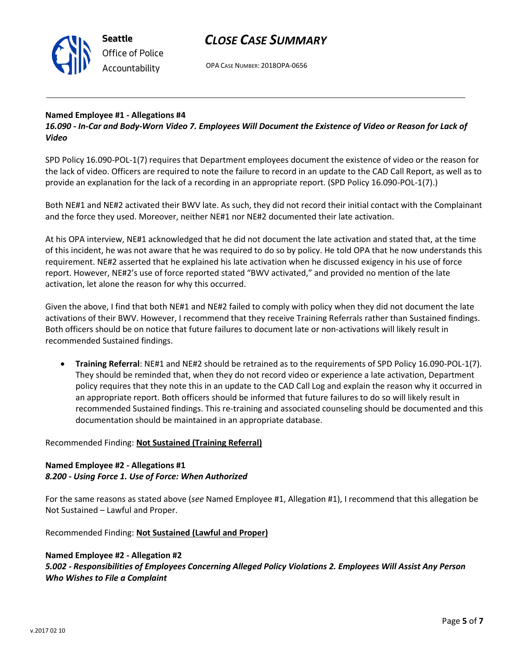

OPA CASE NUMBER: 2018OPA-0656

#### **Named Employee #1 - Allegations #4**

*16.090 - In-Car and Body-Worn Video 7. Employees Will Document the Existence of Video or Reason for Lack of Video*

SPD Policy 16.090-POL-1(7) requires that Department employees document the existence of video or the reason for the lack of video. Officers are required to note the failure to record in an update to the CAD Call Report, as well as to provide an explanation for the lack of a recording in an appropriate report. (SPD Policy 16.090-POL-1(7).)

Both NE#1 and NE#2 activated their BWV late. As such, they did not record their initial contact with the Complainant and the force they used. Moreover, neither NE#1 nor NE#2 documented their late activation.

At his OPA interview, NE#1 acknowledged that he did not document the late activation and stated that, at the time of this incident, he was not aware that he was required to do so by policy. He told OPA that he now understands this requirement. NE#2 asserted that he explained his late activation when he discussed exigency in his use of force report. However, NE#2's use of force reported stated "BWV activated," and provided no mention of the late activation, let alone the reason for why this occurred.

Given the above, I find that both NE#1 and NE#2 failed to comply with policy when they did not document the late activations of their BWV. However, I recommend that they receive Training Referrals rather than Sustained findings. Both officers should be on notice that future failures to document late or non-activations will likely result in recommended Sustained findings.

• **Training Referral**: NE#1 and NE#2 should be retrained as to the requirements of SPD Policy 16.090-POL-1(7). They should be reminded that, when they do not record video or experience a late activation, Department policy requires that they note this in an update to the CAD Call Log and explain the reason why it occurred in an appropriate report. Both officers should be informed that future failures to do so will likely result in recommended Sustained findings. This re-training and associated counseling should be documented and this documentation should be maintained in an appropriate database.

Recommended Finding: **Not Sustained (Training Referral)**

#### **Named Employee #2 - Allegations #1** *8.200 - Using Force 1. Use of Force: When Authorized*

For the same reasons as stated above (*see* Named Employee #1, Allegation #1), I recommend that this allegation be Not Sustained – Lawful and Proper.

Recommended Finding: **Not Sustained (Lawful and Proper)**

#### **Named Employee #2 - Allegation #2**

*5.002 - Responsibilities of Employees Concerning Alleged Policy Violations 2. Employees Will Assist Any Person Who Wishes to File a Complaint*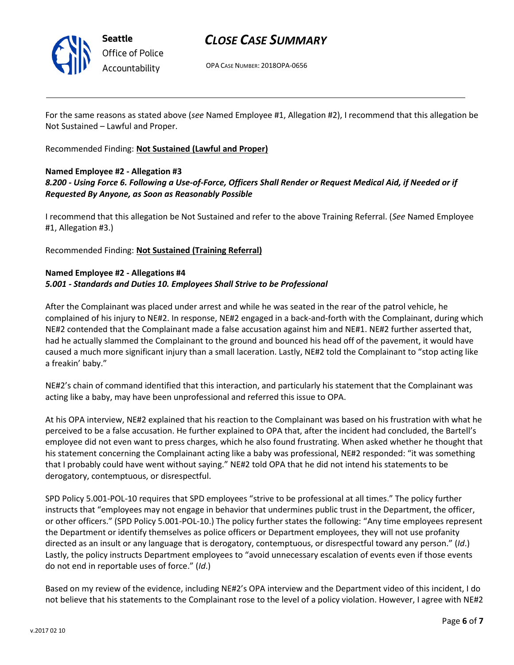

OPA CASE NUMBER: 2018OPA-0656

For the same reasons as stated above (*see* Named Employee #1, Allegation #2), I recommend that this allegation be Not Sustained – Lawful and Proper.

Recommended Finding: **Not Sustained (Lawful and Proper)**

#### **Named Employee #2 - Allegation #3**

### *8.200 - Using Force 6. Following a Use-of-Force, Officers Shall Render or Request Medical Aid, if Needed or if Requested By Anyone, as Soon as Reasonably Possible*

I recommend that this allegation be Not Sustained and refer to the above Training Referral. (*See* Named Employee #1, Allegation #3.)

Recommended Finding: **Not Sustained (Training Referral)**

#### **Named Employee #2 - Allegations #4** *5.001 - Standards and Duties 10. Employees Shall Strive to be Professional*

After the Complainant was placed under arrest and while he was seated in the rear of the patrol vehicle, he complained of his injury to NE#2. In response, NE#2 engaged in a back-and-forth with the Complainant, during which NE#2 contended that the Complainant made a false accusation against him and NE#1. NE#2 further asserted that, had he actually slammed the Complainant to the ground and bounced his head off of the pavement, it would have caused a much more significant injury than a small laceration. Lastly, NE#2 told the Complainant to "stop acting like a freakin' baby."

NE#2's chain of command identified that this interaction, and particularly his statement that the Complainant was acting like a baby, may have been unprofessional and referred this issue to OPA.

At his OPA interview, NE#2 explained that his reaction to the Complainant was based on his frustration with what he perceived to be a false accusation. He further explained to OPA that, after the incident had concluded, the Bartell's employee did not even want to press charges, which he also found frustrating. When asked whether he thought that his statement concerning the Complainant acting like a baby was professional, NE#2 responded: "it was something that I probably could have went without saying." NE#2 told OPA that he did not intend his statements to be derogatory, contemptuous, or disrespectful.

SPD Policy 5.001-POL-10 requires that SPD employees "strive to be professional at all times." The policy further instructs that "employees may not engage in behavior that undermines public trust in the Department, the officer, or other officers." (SPD Policy 5.001-POL-10.) The policy further states the following: "Any time employees represent the Department or identify themselves as police officers or Department employees, they will not use profanity directed as an insult or any language that is derogatory, contemptuous, or disrespectful toward any person." (*Id*.) Lastly, the policy instructs Department employees to "avoid unnecessary escalation of events even if those events do not end in reportable uses of force." (*Id*.)

Based on my review of the evidence, including NE#2's OPA interview and the Department video of this incident, I do not believe that his statements to the Complainant rose to the level of a policy violation. However, I agree with NE#2